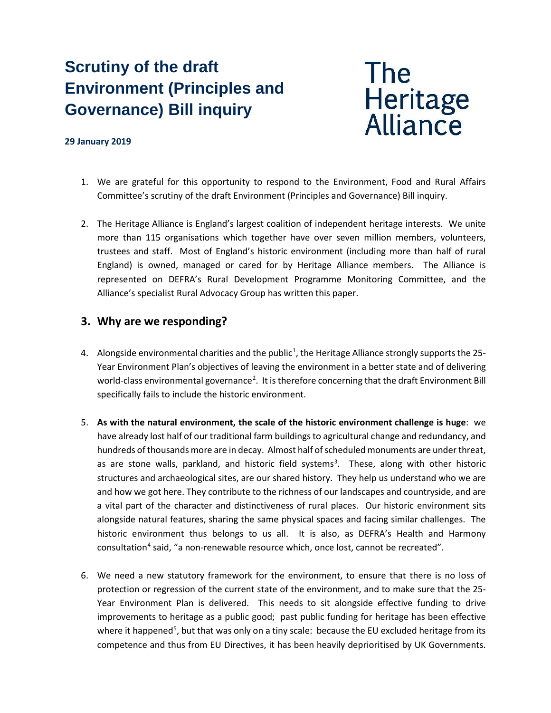# **Scrutiny of the draft Environment (Principles and Governance) Bill inquiry**



### **29 January 2019**

- 1. We are grateful for this opportunity to respond to the Environment, Food and Rural Affairs Committee's scrutiny of the draft Environment (Principles and Governance) Bill inquiry.
- 2. The Heritage Alliance is England's largest coalition of independent heritage interests. We unite more than 115 organisations which together have over seven million members, volunteers, trustees and staff. Most of England's historic environment (including more than half of rural England) is owned, managed or cared for by Heritage Alliance members. The Alliance is represented on DEFRA's Rural Development Programme Monitoring Committee, and the Alliance's specialist Rural Advocacy Group has written this paper.

## **3. Why are we responding?**

- 4. Alongside environmental charities and the public<sup>1</sup>, the Heritage Alliance strongly supports the 25-Year Environment Plan's objectives of leaving the environment in a better state and of delivering world-class environmental governance<sup>[2](#page-4-1)</sup>. It is therefore concerning that the draft Environment Bill specifically fails to include the historic environment.
- 5. **As with the natural environment, the scale of the historic environment challenge is huge**: we have already lost half of our traditional farm buildings to agricultural change and redundancy, and hundreds of thousands more are in decay. Almost half of scheduled monuments are under threat, as are stone walls, parkland, and historic field systems<sup>[3](#page-4-2)</sup>. These, along with other historic structures and archaeological sites, are our shared history. They help us understand who we are and how we got here. They contribute to the richness of our landscapes and countryside, and are a vital part of the character and distinctiveness of rural places. Our historic environment sits alongside natural features, sharing the same physical spaces and facing similar challenges. The historic environment thus belongs to us all. It is also, as DEFRA's Health and Harmony consultation<sup>[4](#page-4-3)</sup> said, "a non-renewable resource which, once lost, cannot be recreated".
- 6. We need a new statutory framework for the environment, to ensure that there is no loss of protection or regression of the current state of the environment, and to make sure that the 25- Year Environment Plan is delivered. This needs to sit alongside effective funding to drive improvements to heritage as a public good; past public funding for heritage has been effective where it happened<sup>[5](#page-4-4)</sup>, but that was only on a tiny scale: because the EU excluded heritage from its competence and thus from EU Directives, it has been heavily deprioritised by UK Governments.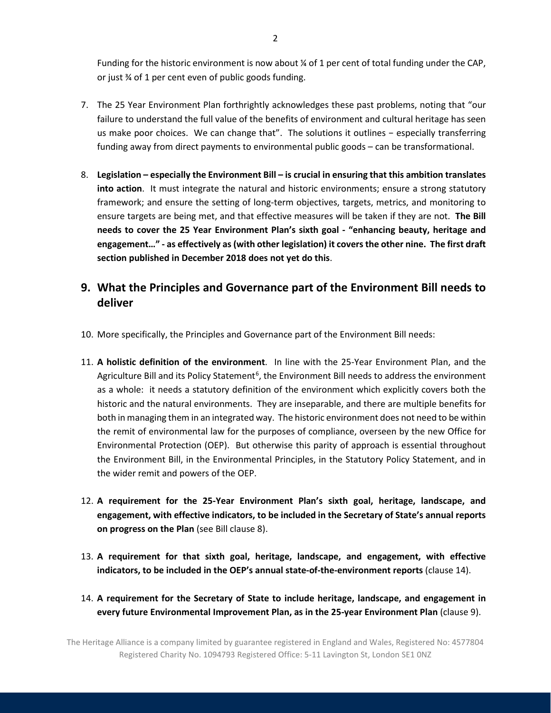Funding for the historic environment is now about % of 1 per cent of total funding under the CAP, or just ¾ of 1 per cent even of public goods funding.

- 7. The 25 Year Environment Plan forthrightly acknowledges these past problems, noting that "our failure to understand the full value of the benefits of environment and cultural heritage has seen us make poor choices. We can change that". The solutions it outlines − especially transferring funding away from direct payments to environmental public goods – can be transformational.
- 8. **Legislation – especially the Environment Bill – is crucial in ensuring that this ambition translates into action**. It must integrate the natural and historic environments; ensure a strong statutory framework; and ensure the setting of long-term objectives, targets, metrics, and monitoring to ensure targets are being met, and that effective measures will be taken if they are not. **The Bill needs to cover the 25 Year Environment Plan's sixth goal - "enhancing beauty, heritage and engagement…" - as effectively as (with other legislation) it coversthe other nine. The first draft section published in December 2018 does not yet do this**.

# **9. What the Principles and Governance part of the Environment Bill needs to deliver**

- 10. More specifically, the Principles and Governance part of the Environment Bill needs:
- 11. **A holistic definition of the environment**. In line with the 25-Year Environment Plan, and the Agriculture Bill and its Policy Statement<sup>[6](#page-4-5)</sup>, the Environment Bill needs to address the environment as a whole: it needs a statutory definition of the environment which explicitly covers both the historic and the natural environments. They are inseparable, and there are multiple benefits for both in managing them in an integrated way. The historic environment does not need to be within the remit of environmental law for the purposes of compliance, overseen by the new Office for Environmental Protection (OEP). But otherwise this parity of approach is essential throughout the Environment Bill, in the Environmental Principles, in the Statutory Policy Statement, and in the wider remit and powers of the OEP.
- 12. **A requirement for the 25-Year Environment Plan's sixth goal, heritage, landscape, and engagement, with effective indicators, to be included in the Secretary of State's annual reports on progress on the Plan** (see Bill clause 8).
- 13. **A requirement for that sixth goal, heritage, landscape, and engagement, with effective indicators, to be included in the OEP's annual state-of-the-environment reports** (clause 14).
- 14. **A requirement for the Secretary of State to include heritage, landscape, and engagement in every future Environmental Improvement Plan, as in the 25-year Environment Plan** (clause 9).

The Heritage Alliance is a company limited by guarantee registered in England and Wales, Registered No: 4577804 Registered Charity No. 1094793 Registered Office: 5-11 Lavington St, London SE1 0NZ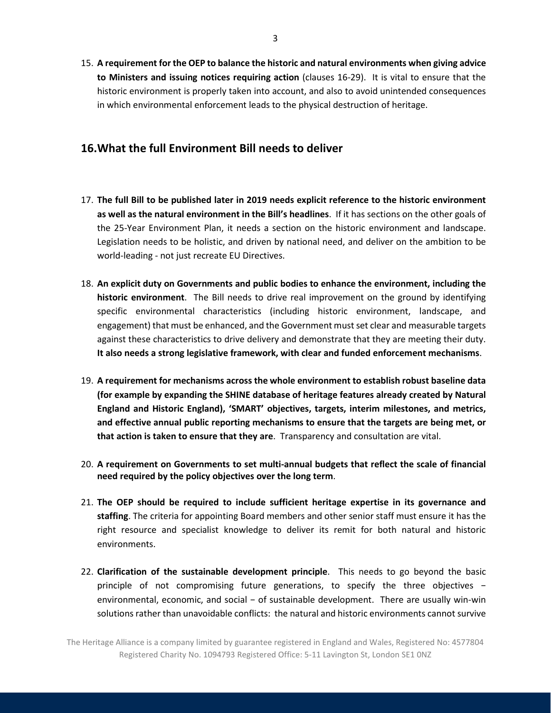15. **A requirement for the OEP to balance the historic and natural environments when giving advice to Ministers and issuing notices requiring action** (clauses 16-29). It is vital to ensure that the historic environment is properly taken into account, and also to avoid unintended consequences in which environmental enforcement leads to the physical destruction of heritage.

## **16.What the full Environment Bill needs to deliver**

- 17. **The full Bill to be published later in 2019 needs explicit reference to the historic environment as well as the natural environment in the Bill's headlines**. If it has sections on the other goals of the 25-Year Environment Plan, it needs a section on the historic environment and landscape. Legislation needs to be holistic, and driven by national need, and deliver on the ambition to be world-leading - not just recreate EU Directives.
- 18. **An explicit duty on Governments and public bodies to enhance the environment, including the historic environment**. The Bill needs to drive real improvement on the ground by identifying specific environmental characteristics (including historic environment, landscape, and engagement) that must be enhanced, and the Government must set clear and measurable targets against these characteristics to drive delivery and demonstrate that they are meeting their duty. **It also needs a strong legislative framework, with clear and funded enforcement mechanisms**.
- 19. **A requirement for mechanisms across the whole environment to establish robust baseline data (for example by expanding the SHINE database of heritage features already created by Natural England and Historic England), 'SMART' objectives, targets, interim milestones, and metrics, and effective annual public reporting mechanisms to ensure that the targets are being met, or that action is taken to ensure that they are**. Transparency and consultation are vital.
- 20. **A requirement on Governments to set multi-annual budgets that reflect the scale of financial need required by the policy objectives over the long term**.
- 21. **The OEP should be required to include sufficient heritage expertise in its governance and staffing**. The criteria for appointing Board members and other senior staff must ensure it has the right resource and specialist knowledge to deliver its remit for both natural and historic environments.
- 22. **Clarification of the sustainable development principle**. This needs to go beyond the basic principle of not compromising future generations, to specify the three objectives − environmental, economic, and social – of sustainable development. There are usually win-win solutions rather than unavoidable conflicts: the natural and historic environments cannot survive

The Heritage Alliance is a company limited by guarantee registered in England and Wales, Registered No: 4577804 Registered Charity No. 1094793 Registered Office: 5-11 Lavington St, London SE1 0NZ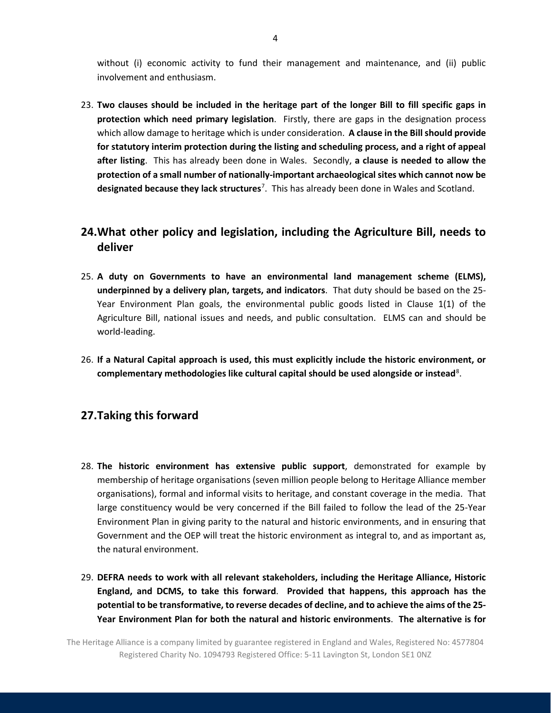without (i) economic activity to fund their management and maintenance, and (ii) public involvement and enthusiasm.

23. **Two clauses should be included in the heritage part of the longer Bill to fill specific gaps in protection which need primary legislation**.Firstly, there are gaps in the designation process which allow damage to heritage which is under consideration. **A clause in the Bill should provide for statutory interim protection during the listing and scheduling process, and a right of appeal after listing**. This has already been done in Wales. Secondly, **a clause is needed to allow the protection of a small number of nationally-important archaeological sites which cannot now be designated because they lack structures**[7](#page-4-6) .This has already been done in Wales and Scotland.

## **24.What other policy and legislation, including the Agriculture Bill, needs to deliver**

- 25. **A duty on Governments to have an environmental land management scheme (ELMS), underpinned by a delivery plan, targets, and indicators**. That duty should be based on the 25- Year Environment Plan goals, the environmental public goods listed in Clause 1(1) of the Agriculture Bill, national issues and needs, and public consultation. ELMS can and should be world-leading.
- 26. **If a Natural Capital approach is used, this must explicitly include the historic environment, or complementary methodologies like cultural capital should be used alongside or instead**[8](#page-4-7) .

## **27.Taking this forward**

- 28. **The historic environment has extensive public support**, demonstrated for example by membership of heritage organisations (seven million people belong to Heritage Alliance member organisations), formal and informal visits to heritage, and constant coverage in the media. That large constituency would be very concerned if the Bill failed to follow the lead of the 25-Year Environment Plan in giving parity to the natural and historic environments, and in ensuring that Government and the OEP will treat the historic environment as integral to, and as important as, the natural environment.
- 29. **DEFRA needs to work with all relevant stakeholders, including the Heritage Alliance, Historic England, and DCMS, to take this forward**. **Provided that happens, this approach has the potential to be transformative, to reverse decades of decline, and to achieve the aims of the 25- Year Environment Plan for both the natural and historic environments**. **The alternative is for**

The Heritage Alliance is a company limited by guarantee registered in England and Wales, Registered No: 4577804 Registered Charity No. 1094793 Registered Office: 5-11 Lavington St, London SE1 0NZ